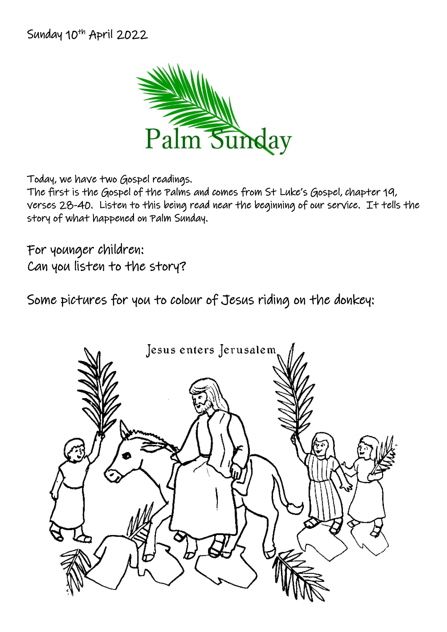Sunday 10<sup>th</sup> April 2022



Today, we have two Gospel readings.

The first is the Gospel of the Palms and comes from St Luke's Gospel, chapter 19, verses 28-40. Listen to this being read near the beginning of our service. It tells the story of what happened on Palm Sunday.

For younger children: Can you listen to the story?

Some pictures for you to colour of Jesus riding on the donkey:

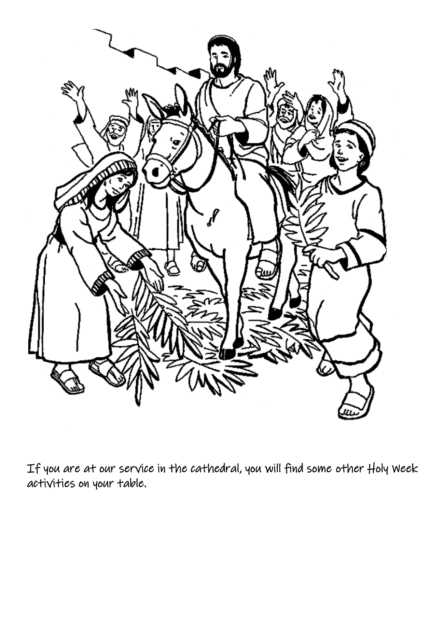

If you are at our service in the cathedral, you will find some other Holy Week activities on your table.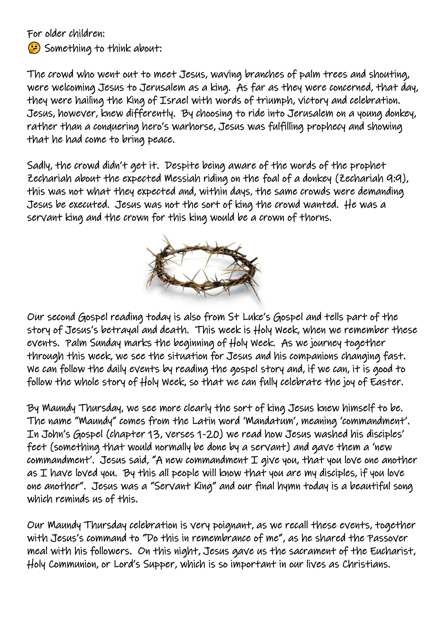For older children:

Something to think about:

The crowd who went out to meet Jesus, waving branches of palm trees and shouting, were welcoming Jesus to Jerusalem as a king. As far as they were concerned, that day, they were hailing the King of Israel with words of triumph, victory and celebration. Jesus, however, knew differently. By choosing to ride into Jerusalem on a young donkey, rather than a conquering hero's warhorse, Jesus was fulfilling prophecy and showing that he had come to bring peace.

Sadly, the crowd didn't get it. Despite being aware of the words of the prophet Zechariah about the expected Messiah riding on the foal of a donkey (Zechariah 9:9), this was not what they expected and, within days, the same crowds were demanding Jesus be executed. Jesus was not the sort of king the crowd wanted. He was a servant king and the crown for this king would be a crown of thorns.



Our second Gospel reading today is also from St Luke's Gospel and tells part of the story of Jesus's betrayal and death. This week is Holy Week, when we remember these events. Palm Sunday marks the beginning of Holy Week. As we journey together through this week, we see the situation for Jesus and his companions changing fast. We can follow the daily events by reading the gospel story and, if we can, it is good to follow the whole story of Holy Week, so that we can fully celebrate the joy of Easter.

By Maundy Thursday, we see more clearly the sort of king Jesus knew himself to be. The name "Maundy" comes from the Latin word 'Mandatum', meaning 'commandment'. In John's Gospel (chapter 13, verses 1-20) we read how Jesus washed his disciples' feet (something that would normally be done by a servant) and gave them a 'new commandment'. Jesus said, "A new commandment I give you, that you love one another  $a$ s I have loved you. By this all people will know that you are my disciples, if you love one another". Jesus was a "Servant King" and our final hymn today is a beautiful song which reminds us of this.

Our Maundy Thursday celebration is very poignant, as we recall these events, together with Jesus's command to "Do this in remembrance of me", as he shared the Passover meal with his followers. On this night, Jesus gave us the sacrament of the Eucharist, Holy Communion, or Lord's Supper, which is so important in our lives as Christians.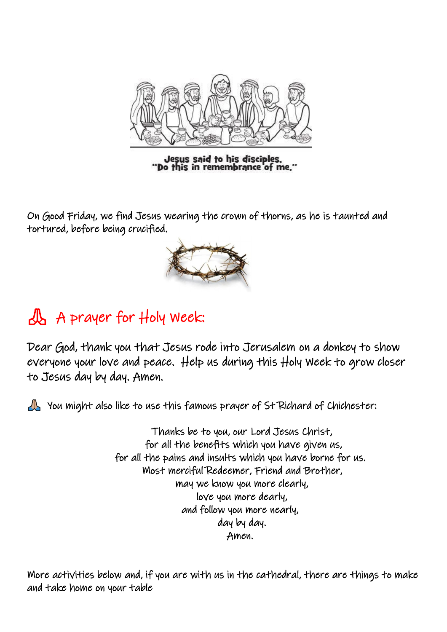

Jesus said to his disciples.<br>"Do this in remembrance of me."

On Good Friday, we find Jesus wearing the crown of thorns, as he is taunted and tortured, before being crucified.



## A prayer for Holy Week:

Dear God, thank you that Jesus rode into Jerusalem on a donkey to show everyone your love and peace. Help us during this Holy Week to grow closer to Jesus day by day. Amen.

You might also like to use this famous prayer of St Richard of Chichester:

 Thanks be to you, our Lord Jesus Christ, for all the benefits which you have given us, for all the pains and insults which you have borne for us. Most merciful Redeemer, Friend and Brother, may we know you more clearly, love you more dearly, and follow you more nearly, day by day. Amen.

More activities below and, if you are with us in the cathedral, there are things to make and take home on your table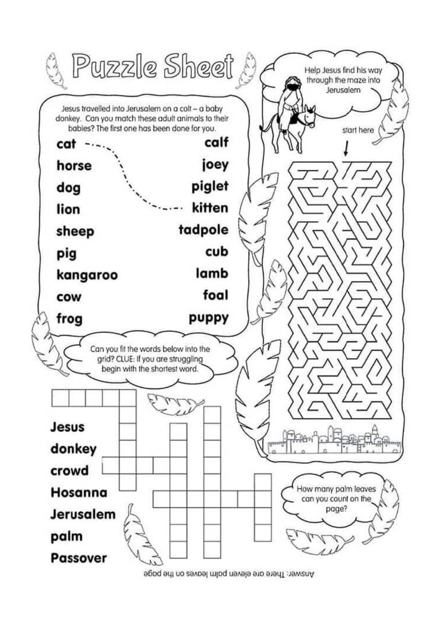